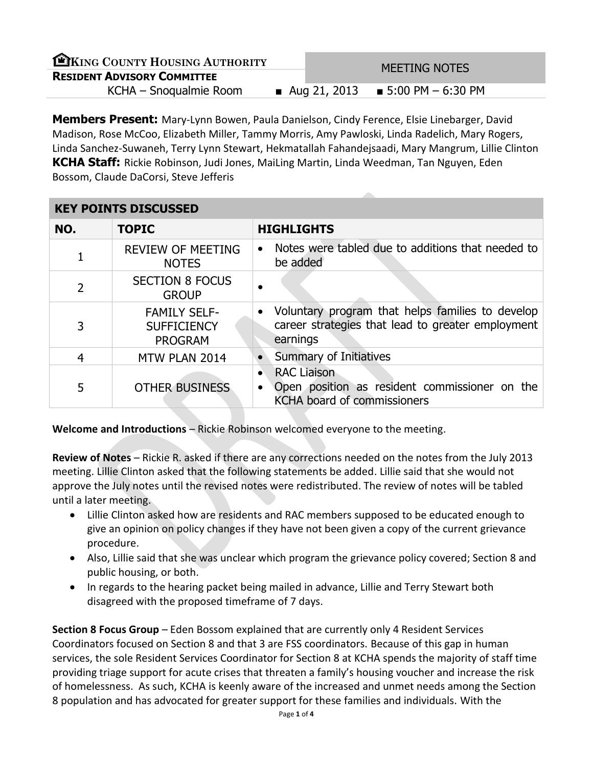| EKING COUNTY HOUSING AUTHORITY     | MEETING NOTES |                                      |
|------------------------------------|---------------|--------------------------------------|
| <b>RESIDENT ADVISORY COMMITTEE</b> |               |                                      |
| KCHA – Snoqualmie Room             |               | ■ Aug 21, 2013 ■ 5:00 PM $-$ 6:30 PM |
|                                    |               |                                      |

**Members Present:** Mary-Lynn Bowen, Paula Danielson, Cindy Ference, Elsie Linebarger, David Madison, Rose McCoo, Elizabeth Miller, Tammy Morris, Amy Pawloski, Linda Radelich, Mary Rogers, Linda Sanchez-Suwaneh, Terry Lynn Stewart, Hekmatallah Fahandejsaadi, Mary Mangrum, Lillie Clinton **KCHA Staff:** Rickie Robinson, Judi Jones, MaiLing Martin, Linda Weedman, Tan Nguyen, Eden Bossom, Claude DaCorsi, Steve Jefferis

## **KEY POINTS DISCUSSED**

| NO.            | <b>TOPIC</b>                                                | <b>HIGHLIGHTS</b>                                                                                                 |
|----------------|-------------------------------------------------------------|-------------------------------------------------------------------------------------------------------------------|
|                | <b>REVIEW OF MEETING</b><br><b>NOTES</b>                    | Notes were tabled due to additions that needed to<br>$\bullet$<br>be added                                        |
| 2              | <b>SECTION 8 FOCUS</b><br><b>GROUP</b>                      |                                                                                                                   |
| 3              | <b>FAMILY SELF-</b><br><b>SUFFICIENCY</b><br><b>PROGRAM</b> | Voluntary program that helps families to develop<br>career strategies that lead to greater employment<br>earnings |
| $\overline{4}$ | MTW PLAN 2014                                               | Summary of Initiatives                                                                                            |
| 5              | <b>OTHER BUSINESS</b>                                       | <b>RAC Liaison</b><br>Open position as resident commissioner on the<br><b>KCHA board of commissioners</b>         |

**Welcome and Introductions** – Rickie Robinson welcomed everyone to the meeting.

**Review of Notes** – Rickie R. asked if there are any corrections needed on the notes from the July 2013 meeting. Lillie Clinton asked that the following statements be added. Lillie said that she would not approve the July notes until the revised notes were redistributed. The review of notes will be tabled until a later meeting.

- Lillie Clinton asked how are residents and RAC members supposed to be educated enough to give an opinion on policy changes if they have not been given a copy of the current grievance procedure.
- Also, Lillie said that she was unclear which program the grievance policy covered; Section 8 and public housing, or both.
- In regards to the hearing packet being mailed in advance, Lillie and Terry Stewart both disagreed with the proposed timeframe of 7 days.

**Section 8 Focus Group** – Eden Bossom explained that are currently only 4 Resident Services Coordinators focused on Section 8 and that 3 are FSS coordinators. Because of this gap in human services, the sole Resident Services Coordinator for Section 8 at KCHA spends the majority of staff time providing triage support for acute crises that threaten a family's housing voucher and increase the risk of homelessness. As such, KCHA is keenly aware of the increased and unmet needs among the Section 8 population and has advocated for greater support for these families and individuals. With the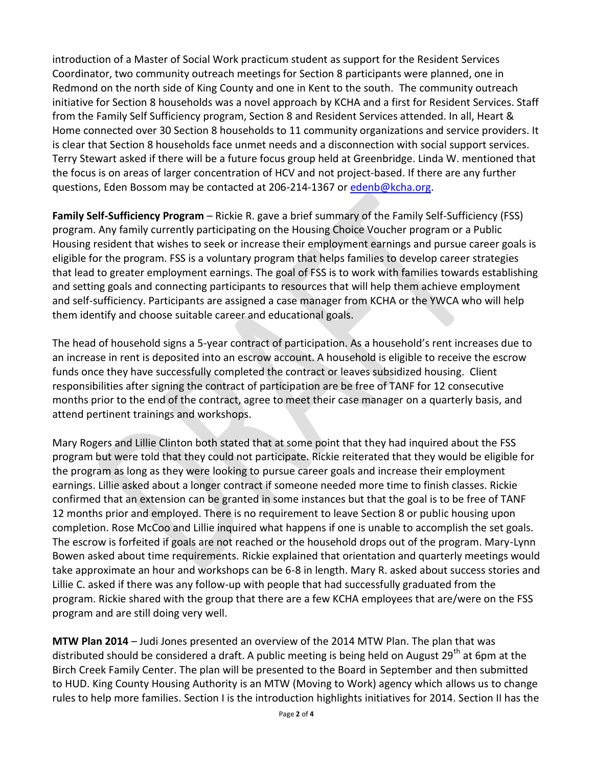introduction of a Master of Social Work practicum student as support for the Resident Services Coordinator, two community outreach meetings for Section 8 participants were planned, one in Redmond on the north side of King County and one in Kent to the south. The community outreach initiative for Section 8 households was a novel approach by KCHA and a first for Resident Services. Staff from the Family Self Sufficiency program, Section 8 and Resident Services attended. In all, Heart & Home connected over 30 Section 8 households to 11 community organizations and service providers. It is clear that Section 8 households face unmet needs and a disconnection with social support services. Terry Stewart asked if there will be a future focus group held at Greenbridge. Linda W. mentioned that the focus is on areas of larger concentration of HCV and not project-based. If there are any further questions, Eden Bossom may be contacted at 206-214-1367 o[r edenb@kcha.org.](mailto:edenb@kcha.org)

**Family Self-Sufficiency Program** – Rickie R. gave a brief summary of the Family Self-Sufficiency (FSS) program. Any family currently participating on the Housing Choice Voucher program or a Public Housing resident that wishes to seek or increase their employment earnings and pursue career goals is eligible for the program. FSS is a voluntary program that helps families to develop career strategies that lead to greater employment earnings. The goal of FSS is to work with families towards establishing and setting goals and connecting participants to resources that will help them achieve employment and self-sufficiency. Participants are assigned a case manager from KCHA or the YWCA who will help them identify and choose suitable career and educational goals.

The head of household signs a 5-year contract of participation. As a household's rent increases due to an increase in rent is deposited into an escrow account. A household is eligible to receive the escrow funds once they have successfully completed the contract or leaves subsidized housing. Client responsibilities after signing the contract of participation are be free of TANF for 12 consecutive months prior to the end of the contract, agree to meet their case manager on a quarterly basis, and attend pertinent trainings and workshops.

Mary Rogers and Lillie Clinton both stated that at some point that they had inquired about the FSS program but were told that they could not participate. Rickie reiterated that they would be eligible for the program as long as they were looking to pursue career goals and increase their employment earnings. Lillie asked about a longer contract if someone needed more time to finish classes. Rickie confirmed that an extension can be granted in some instances but that the goal is to be free of TANF 12 months prior and employed. There is no requirement to leave Section 8 or public housing upon completion. Rose McCoo and Lillie inquired what happens if one is unable to accomplish the set goals. The escrow is forfeited if goals are not reached or the household drops out of the program. Mary-Lynn Bowen asked about time requirements. Rickie explained that orientation and quarterly meetings would take approximate an hour and workshops can be 6-8 in length. Mary R. asked about success stories and Lillie C. asked if there was any follow-up with people that had successfully graduated from the program. Rickie shared with the group that there are a few KCHA employees that are/were on the FSS program and are still doing very well.

**MTW Plan 2014** – Judi Jones presented an overview of the 2014 MTW Plan. The plan that was distributed should be considered a draft. A public meeting is being held on August 29<sup>th</sup> at 6pm at the Birch Creek Family Center. The plan will be presented to the Board in September and then submitted to HUD. King County Housing Authority is an MTW (Moving to Work) agency which allows us to change rules to help more families. Section I is the introduction highlights initiatives for 2014. Section II has the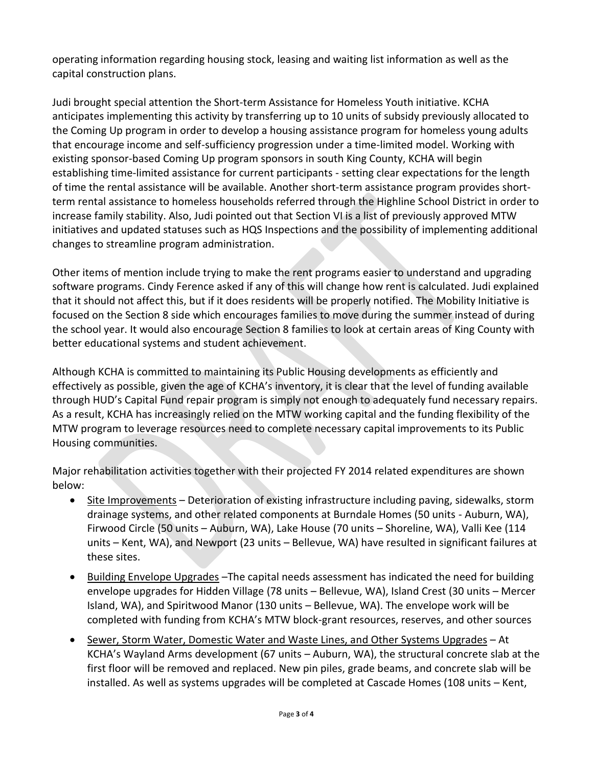operating information regarding housing stock, leasing and waiting list information as well as the capital construction plans.

Judi brought special attention the Short-term Assistance for Homeless Youth initiative. KCHA anticipates implementing this activity by transferring up to 10 units of subsidy previously allocated to the Coming Up program in order to develop a housing assistance program for homeless young adults that encourage income and self-sufficiency progression under a time-limited model. Working with existing sponsor-based Coming Up program sponsors in south King County, KCHA will begin establishing time-limited assistance for current participants - setting clear expectations for the length of time the rental assistance will be available. Another short-term assistance program provides shortterm rental assistance to homeless households referred through the Highline School District in order to increase family stability. Also, Judi pointed out that Section VI is a list of previously approved MTW initiatives and updated statuses such as HQS Inspections and the possibility of implementing additional changes to streamline program administration.

Other items of mention include trying to make the rent programs easier to understand and upgrading software programs. Cindy Ference asked if any of this will change how rent is calculated. Judi explained that it should not affect this, but if it does residents will be properly notified. The Mobility Initiative is focused on the Section 8 side which encourages families to move during the summer instead of during the school year. It would also encourage Section 8 families to look at certain areas of King County with better educational systems and student achievement.

Although KCHA is committed to maintaining its Public Housing developments as efficiently and effectively as possible, given the age of KCHA's inventory, it is clear that the level of funding available through HUD's Capital Fund repair program is simply not enough to adequately fund necessary repairs. As a result, KCHA has increasingly relied on the MTW working capital and the funding flexibility of the MTW program to leverage resources need to complete necessary capital improvements to its Public Housing communities.

Major rehabilitation activities together with their projected FY 2014 related expenditures are shown below:

- Site Improvements Deterioration of existing infrastructure including paving, sidewalks, storm drainage systems, and other related components at Burndale Homes (50 units - Auburn, WA), Firwood Circle (50 units – Auburn, WA), Lake House (70 units – Shoreline, WA), Valli Kee (114 units – Kent, WA), and Newport (23 units – Bellevue, WA) have resulted in significant failures at these sites.
- Building Envelope Upgrades –The capital needs assessment has indicated the need for building envelope upgrades for Hidden Village (78 units – Bellevue, WA), Island Crest (30 units – Mercer Island, WA), and Spiritwood Manor (130 units – Bellevue, WA). The envelope work will be completed with funding from KCHA's MTW block-grant resources, reserves, and other sources
- Sewer, Storm Water, Domestic Water and Waste Lines, and Other Systems Upgrades At KCHA's Wayland Arms development (67 units – Auburn, WA), the structural concrete slab at the first floor will be removed and replaced. New pin piles, grade beams, and concrete slab will be installed. As well as systems upgrades will be completed at Cascade Homes (108 units – Kent,